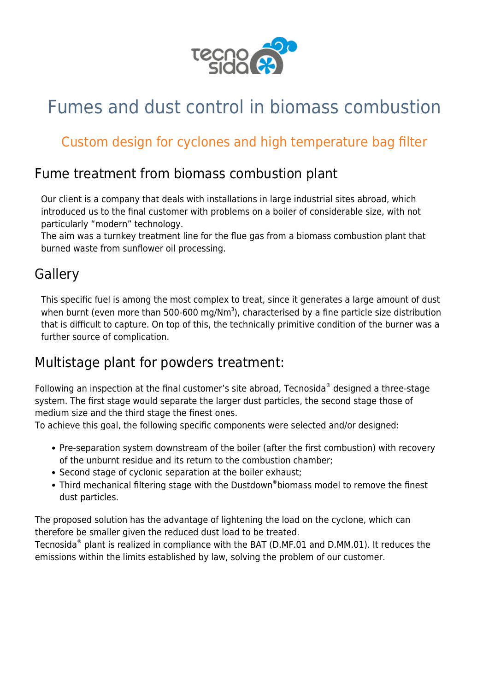

# Fumes and dust control in biomass combustion

# Custom design for cyclones and high temperature bag filter

# Fume treatment from biomass combustion plant

Our client is a company that deals with installations in large industrial sites abroad, which introduced us to the final customer with problems on a boiler of considerable size, with not particularly "modern" technology.

The aim was a turnkey treatment line for the flue gas from a [biomass](https://www.tecnosida.com/wood-biomass-quality-energy-density) [combustion](https://www.tecnosida.com/biomass-combustion-plants-and-by-products) plant that burned waste from sunflower oil processing.

# **Gallery**

This specific fuel is among the most complex to treat, since it generates a large amount of [dust](https://www.tecnosida.com/dust-collection-particulate-physical-properties) when burnt (even more than 500-600 mg/Nm<sup>3</sup>), characterised by a fine particle size distribution that is difficult to capture. On top of this, the technically primitive condition of the burner was a further source of complication.

#### Multistage plant for powders treatment:

Following an inspection at the final customer's site abroad, Tecnosida® designed a three-stage system. The first stage would separate the larger [dust](https://www.tecnosida.com/dust-collection-particulate-physical-properties) particles, the second stage those of medium size and the third stage the finest ones.

To achieve this goal, the following specific components were selected and/or designed:

- Pre-separation system downstream of the boiler (after the first [combustion\)](https://www.tecnosida.com/biomass-combustion-plants-and-by-products) with recovery of the unburnt residue and its return to the [combustion](https://www.tecnosida.com/biomass-combustion-plants-and-by-products) chamber;
- Second stage of [cyclonic separation](https://www.tecnosida.com/cyclone-dust-collector) at the boiler exhaust;
- Third mechanical filtering stage with the [Dustdown](https://www.tecnosida.com/high-temperature-bag-filter-biomass-combustion)[®](https://www.tecnosida.com/high-temperature-bag-filter-biomass-combustion) [biomass](https://www.tecnosida.com/high-temperature-bag-filter-biomass-combustion) model to remove the finest [dust](https://www.tecnosida.com/dust-collection-particulate-physical-properties) particles.

The proposed solution has the advantage of lightening the load on the [cyclone,](https://www.tecnosida.com/cyclone-dust-collector) which can therefore be smaller given the reduced [dust](https://www.tecnosida.com/dust-collection-filters) load to be treated.

Tecnosida® plant is realized in compliance with the BAT (D.MF.01 and D.MM.01). It reduces the emissions within the limits established by law, solving the problem of our customer.